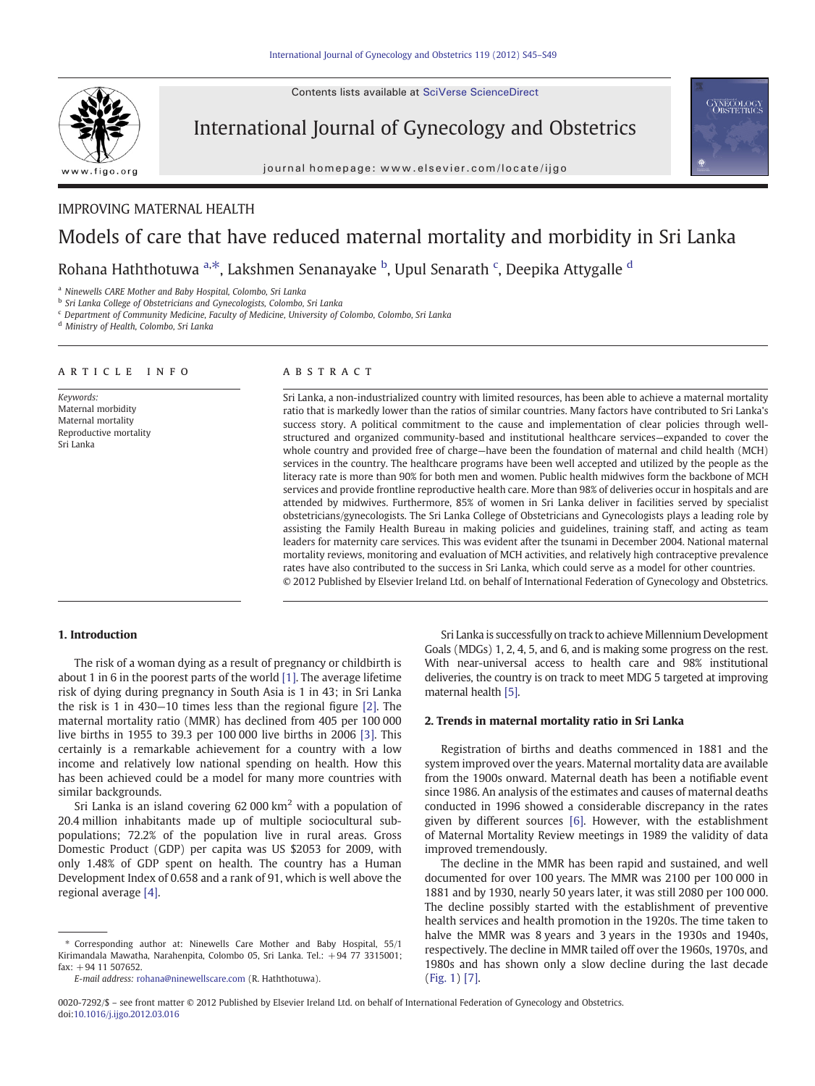Contents lists available at SciVerse ScienceDirect



International Journal of Gynecology and Obstetrics

journal homepage: www.elsevier.com/locate/ijgo

# **GYNECOLOGY**

### IMPROVING MATERNAL HEALTH

## Models of care that have reduced maternal mortality and morbidity in Sri Lanka

Rohana Haththotuwa <sup>a,\*</sup>, Lakshmen Senanayake <sup>b</sup>, Upul Senarath <sup>c</sup>, Deepika Attygalle <sup>d</sup>

<sup>a</sup> Ninewells CARE Mother and Baby Hospital, Colombo, Sri Lanka

b Sri Lanka College of Obstetricians and Gynecologists, Colombo, Sri Lanka

<sup>c</sup> Department of Community Medicine, Faculty of Medicine, University of Colombo, Colombo, Sri Lanka

<sup>d</sup> Ministry of Health, Colombo, Sri Lanka

#### article info abstract

Keywords: Maternal morbidity Maternal mortality Reproductive mortality Sri Lanka

Sri Lanka, a non-industrialized country with limited resources, has been able to achieve a maternal mortality ratio that is markedly lower than the ratios of similar countries. Many factors have contributed to Sri Lanka's success story. A political commitment to the cause and implementation of clear policies through wellstructured and organized community-based and institutional healthcare services—expanded to cover the whole country and provided free of charge—have been the foundation of maternal and child health (MCH) services in the country. The healthcare programs have been well accepted and utilized by the people as the literacy rate is more than 90% for both men and women. Public health midwives form the backbone of MCH services and provide frontline reproductive health care. More than 98% of deliveries occur in hospitals and are attended by midwives. Furthermore, 85% of women in Sri Lanka deliver in facilities served by specialist obstetricians/gynecologists. The Sri Lanka College of Obstetricians and Gynecologists plays a leading role by assisting the Family Health Bureau in making policies and guidelines, training staff, and acting as team leaders for maternity care services. This was evident after the tsunami in December 2004. National maternal mortality reviews, monitoring and evaluation of MCH activities, and relatively high contraceptive prevalence rates have also contributed to the success in Sri Lanka, which could serve as a model for other countries. © 2012 Published by Elsevier Ireland Ltd. on behalf of International Federation of Gynecology and Obstetrics.

#### 1. Introduction

The risk of a woman dying as a result of pregnancy or childbirth is about 1 in 6 in the poorest parts of the world [\[1\]](#page-3-0). The average lifetime risk of dying during pregnancy in South Asia is 1 in 43; in Sri Lanka the risk is 1 in 430—10 times less than the regional figure [\[2\]](#page-3-0). The maternal mortality ratio (MMR) has declined from 405 per 100 000 live births in 1955 to 39.3 per 100 000 live births in 2006 [\[3\].](#page-4-0) This certainly is a remarkable achievement for a country with a low income and relatively low national spending on health. How this has been achieved could be a model for many more countries with similar backgrounds.

Sri Lanka is an island covering  $62\,000\,\mathrm{km}^2$  with a population of 20.4 million inhabitants made up of multiple sociocultural subpopulations; 72.2% of the population live in rural areas. Gross Domestic Product (GDP) per capita was US \$2053 for 2009, with only 1.48% of GDP spent on health. The country has a Human Development Index of 0.658 and a rank of 91, which is well above the regional average [\[4\]](#page-4-0).

Sri Lanka is successfully on track to achieve Millennium Development Goals (MDGs) 1, 2, 4, 5, and 6, and is making some progress on the rest. With near-universal access to health care and 98% institutional deliveries, the country is on track to meet MDG 5 targeted at improving maternal health [\[5\]](#page-4-0).

#### 2. Trends in maternal mortality ratio in Sri Lanka

Registration of births and deaths commenced in 1881 and the system improved over the years. Maternal mortality data are available from the 1900s onward. Maternal death has been a notifiable event since 1986. An analysis of the estimates and causes of maternal deaths conducted in 1996 showed a considerable discrepancy in the rates given by different sources [\[6\].](#page-4-0) However, with the establishment of Maternal Mortality Review meetings in 1989 the validity of data improved tremendously.

The decline in the MMR has been rapid and sustained, and well documented for over 100 years. The MMR was 2100 per 100 000 in 1881 and by 1930, nearly 50 years later, it was still 2080 per 100 000. The decline possibly started with the establishment of preventive health services and health promotion in the 1920s. The time taken to halve the MMR was 8 years and 3 years in the 1930s and 1940s, respectively. The decline in MMR tailed off over the 1960s, 1970s, and 1980s and has shown only a slow decline during the last decade [\(Fig. 1](#page-1-0)) [\[7\]](#page-4-0).

<sup>⁎</sup> Corresponding author at: Ninewells Care Mother and Baby Hospital, 55/1 Kirimandala Mawatha, Narahenpita, Colombo 05, Sri Lanka. Tel.: +94 77 3315001;  $fax: +94 11 507652.$ 

E-mail address: [rohana@ninewellscare.com](mailto:rohana@ninewellscare.com) (R. Haththotuwa).

<sup>0020-7292/\$</sup> – see front matter © 2012 Published by Elsevier Ireland Ltd. on behalf of International Federation of Gynecology and Obstetrics. doi:[10.1016/j.ijgo.2012.03.016](http://dx.doi.org/10.1016/j.ijgo.2012.03.016)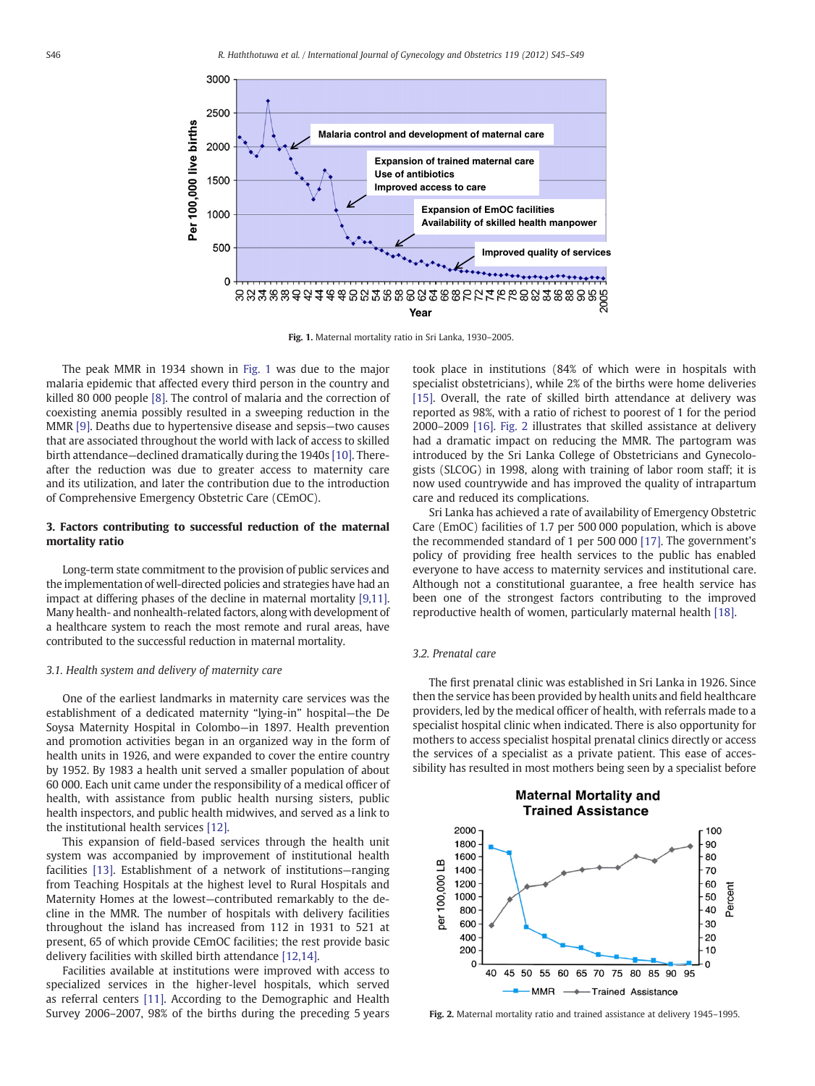<span id="page-1-0"></span>

Fig. 1. Maternal mortality ratio in Sri Lanka, 1930–2005.

The peak MMR in 1934 shown in Fig. 1 was due to the major malaria epidemic that affected every third person in the country and killed 80 000 people [\[8\].](#page-4-0) The control of malaria and the correction of coexisting anemia possibly resulted in a sweeping reduction in the MMR [\[9\].](#page-4-0) Deaths due to hypertensive disease and sepsis—two causes that are associated throughout the world with lack of access to skilled birth attendance—declined dramatically during the 1940s [\[10\]](#page-4-0). Thereafter the reduction was due to greater access to maternity care and its utilization, and later the contribution due to the introduction of Comprehensive Emergency Obstetric Care (CEmOC).

#### 3. Factors contributing to successful reduction of the maternal mortality ratio

Long-term state commitment to the provision of public services and the implementation of well-directed policies and strategies have had an impact at differing phases of the decline in maternal mortality [\[9,11\].](#page-4-0) Many health- and nonhealth-related factors, along with development of a healthcare system to reach the most remote and rural areas, have contributed to the successful reduction in maternal mortality.

#### 3.1. Health system and delivery of maternity care

One of the earliest landmarks in maternity care services was the establishment of a dedicated maternity "lying-in" hospital—the De Soysa Maternity Hospital in Colombo—in 1897. Health prevention and promotion activities began in an organized way in the form of health units in 1926, and were expanded to cover the entire country by 1952. By 1983 a health unit served a smaller population of about 60 000. Each unit came under the responsibility of a medical officer of health, with assistance from public health nursing sisters, public health inspectors, and public health midwives, and served as a link to the institutional health services [\[12\]](#page-4-0).

This expansion of field-based services through the health unit system was accompanied by improvement of institutional health facilities [\[13\].](#page-4-0) Establishment of a network of institutions—ranging from Teaching Hospitals at the highest level to Rural Hospitals and Maternity Homes at the lowest—contributed remarkably to the decline in the MMR. The number of hospitals with delivery facilities throughout the island has increased from 112 in 1931 to 521 at present, 65 of which provide CEmOC facilities; the rest provide basic delivery facilities with skilled birth attendance [\[12,14\].](#page-4-0)

Facilities available at institutions were improved with access to specialized services in the higher-level hospitals, which served as referral centers [\[11\].](#page-4-0) According to the Demographic and Health Survey 2006–2007, 98% of the births during the preceding 5 years took place in institutions (84% of which were in hospitals with specialist obstetricians), while 2% of the births were home deliveries [\[15\]](#page-4-0). Overall, the rate of skilled birth attendance at delivery was reported as 98%, with a ratio of richest to poorest of 1 for the period 2000–2009 [\[16\].](#page-4-0) Fig. 2 illustrates that skilled assistance at delivery had a dramatic impact on reducing the MMR. The partogram was introduced by the Sri Lanka College of Obstetricians and Gynecologists (SLCOG) in 1998, along with training of labor room staff; it is now used countrywide and has improved the quality of intrapartum care and reduced its complications.

Sri Lanka has achieved a rate of availability of Emergency Obstetric Care (EmOC) facilities of 1.7 per 500 000 population, which is above the recommended standard of 1 per 500 000 [\[17\]](#page-4-0). The government's policy of providing free health services to the public has enabled everyone to have access to maternity services and institutional care. Although not a constitutional guarantee, a free health service has been one of the strongest factors contributing to the improved reproductive health of women, particularly maternal health [\[18\].](#page-4-0)

#### 3.2. Prenatal care

The first prenatal clinic was established in Sri Lanka in 1926. Since then the service has been provided by health units and field healthcare providers, led by the medical officer of health, with referrals made to a specialist hospital clinic when indicated. There is also opportunity for mothers to access specialist hospital prenatal clinics directly or access the services of a specialist as a private patient. This ease of accessibility has resulted in most mothers being seen by a specialist before



Fig. 2. Maternal mortality ratio and trained assistance at delivery 1945–1995.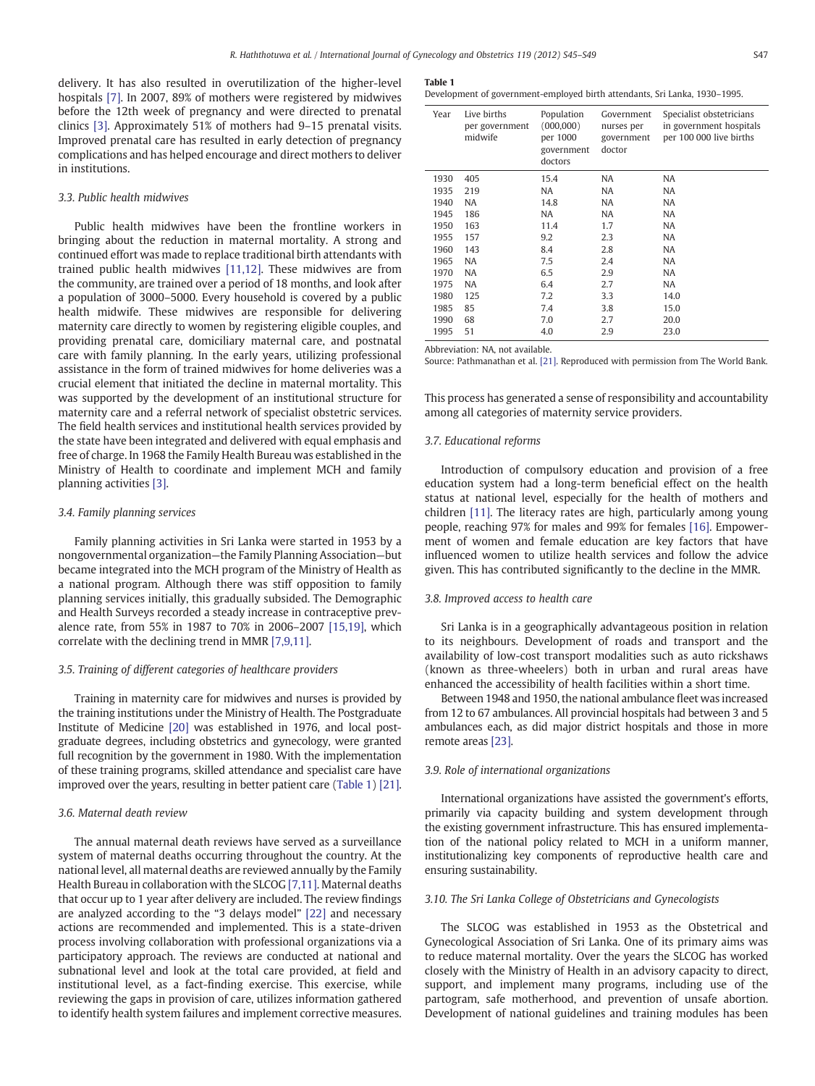delivery. It has also resulted in overutilization of the higher-level hospitals [\[7\]](#page-4-0). In 2007, 89% of mothers were registered by midwives before the 12th week of pregnancy and were directed to prenatal clinics [\[3\].](#page-4-0) Approximately 51% of mothers had 9–15 prenatal visits. Improved prenatal care has resulted in early detection of pregnancy complications and has helped encourage and direct mothers to deliver in institutions.

#### 3.3. Public health midwives

Public health midwives have been the frontline workers in bringing about the reduction in maternal mortality. A strong and continued effort was made to replace traditional birth attendants with trained public health midwives [\[11,12\].](#page-4-0) These midwives are from the community, are trained over a period of 18 months, and look after a population of 3000–5000. Every household is covered by a public health midwife. These midwives are responsible for delivering maternity care directly to women by registering eligible couples, and providing prenatal care, domiciliary maternal care, and postnatal care with family planning. In the early years, utilizing professional assistance in the form of trained midwives for home deliveries was a crucial element that initiated the decline in maternal mortality. This was supported by the development of an institutional structure for maternity care and a referral network of specialist obstetric services. The field health services and institutional health services provided by the state have been integrated and delivered with equal emphasis and free of charge. In 1968 the Family Health Bureau was established in the Ministry of Health to coordinate and implement MCH and family planning activities [\[3\].](#page-4-0)

#### 3.4. Family planning services

Family planning activities in Sri Lanka were started in 1953 by a nongovernmental organization—the Family Planning Association—but became integrated into the MCH program of the Ministry of Health as a national program. Although there was stiff opposition to family planning services initially, this gradually subsided. The Demographic and Health Surveys recorded a steady increase in contraceptive prevalence rate, from 55% in 1987 to 70% in 2006–2007 [\[15,19\]](#page-4-0), which correlate with the declining trend in MMR [\[7,9,11\].](#page-4-0)

#### 3.5. Training of different categories of healthcare providers

Training in maternity care for midwives and nurses is provided by the training institutions under the Ministry of Health. The Postgraduate Institute of Medicine [\[20\]](#page-4-0) was established in 1976, and local postgraduate degrees, including obstetrics and gynecology, were granted full recognition by the government in 1980. With the implementation of these training programs, skilled attendance and specialist care have improved over the years, resulting in better patient care (Table 1) [\[21\].](#page-4-0)

#### 3.6. Maternal death review

The annual maternal death reviews have served as a surveillance system of maternal deaths occurring throughout the country. At the national level, all maternal deaths are reviewed annually by the Family Health Bureau in collaboration with the SLCOG [\[7,11\].](#page-4-0) Maternal deaths that occur up to 1 year after delivery are included. The review findings are analyzed according to the "3 delays model" [\[22\]](#page-4-0) and necessary actions are recommended and implemented. This is a state-driven process involving collaboration with professional organizations via a participatory approach. The reviews are conducted at national and subnational level and look at the total care provided, at field and institutional level, as a fact-finding exercise. This exercise, while reviewing the gaps in provision of care, utilizes information gathered to identify health system failures and implement corrective measures.

#### Table 1

Development of government-employed birth attendants, Sri Lanka, 1930–1995.

| Year | Live births<br>per government<br>midwife | Population<br>(000, 000)<br>per 1000<br>government<br>doctors | Government<br>nurses per<br>government<br>doctor | Specialist obstetricians<br>in government hospitals<br>per 100 000 live births |
|------|------------------------------------------|---------------------------------------------------------------|--------------------------------------------------|--------------------------------------------------------------------------------|
| 1930 | 405                                      | 15.4                                                          | NA                                               | <b>NA</b>                                                                      |
| 1935 | 219                                      | NA                                                            | NA                                               | <b>NA</b>                                                                      |
| 1940 | NA                                       | 14.8                                                          | NA                                               | <b>NA</b>                                                                      |
| 1945 | 186                                      | NA                                                            | NA                                               | <b>NA</b>                                                                      |
| 1950 | 163                                      | 11.4                                                          | 1.7                                              | <b>NA</b>                                                                      |
| 1955 | 157                                      | 9.2                                                           | 2.3                                              | <b>NA</b>                                                                      |
| 1960 | 143                                      | 8.4                                                           | 2.8                                              | NA                                                                             |
| 1965 | <b>NA</b>                                | 7.5                                                           | 2.4                                              | <b>NA</b>                                                                      |
| 1970 | <b>NA</b>                                | 6.5                                                           | 2.9                                              | NA                                                                             |
| 1975 | <b>NA</b>                                | 6.4                                                           | 2.7                                              | <b>NA</b>                                                                      |
| 1980 | 125                                      | 7.2                                                           | 3.3                                              | 14.0                                                                           |
| 1985 | 85                                       | 7.4                                                           | 3.8                                              | 15.0                                                                           |
| 1990 | 68                                       | 7.0                                                           | 2.7                                              | 20.0                                                                           |
| 1995 | 51                                       | 4.0                                                           | 2.9                                              | 23.0                                                                           |

Abbreviation: NA, not available.

Source: Pathmanathan et al. [\[21\].](#page-4-0) Reproduced with permission from The World Bank.

This process has generated a sense of responsibility and accountability among all categories of maternity service providers.

#### 3.7. Educational reforms

Introduction of compulsory education and provision of a free education system had a long-term beneficial effect on the health status at national level, especially for the health of mothers and children [\[11\]](#page-4-0). The literacy rates are high, particularly among young people, reaching 97% for males and 99% for females [\[16\].](#page-4-0) Empowerment of women and female education are key factors that have influenced women to utilize health services and follow the advice given. This has contributed significantly to the decline in the MMR.

#### 3.8. Improved access to health care

Sri Lanka is in a geographically advantageous position in relation to its neighbours. Development of roads and transport and the availability of low-cost transport modalities such as auto rickshaws (known as three-wheelers) both in urban and rural areas have enhanced the accessibility of health facilities within a short time.

Between 1948 and 1950, the national ambulance fleet was increased from 12 to 67 ambulances. All provincial hospitals had between 3 and 5 ambulances each, as did major district hospitals and those in more remote areas [\[23\]](#page-4-0).

#### 3.9. Role of international organizations

International organizations have assisted the government's efforts, primarily via capacity building and system development through the existing government infrastructure. This has ensured implementation of the national policy related to MCH in a uniform manner, institutionalizing key components of reproductive health care and ensuring sustainability.

#### 3.10. The Sri Lanka College of Obstetricians and Gynecologists

The SLCOG was established in 1953 as the Obstetrical and Gynecological Association of Sri Lanka. One of its primary aims was to reduce maternal mortality. Over the years the SLCOG has worked closely with the Ministry of Health in an advisory capacity to direct, support, and implement many programs, including use of the partogram, safe motherhood, and prevention of unsafe abortion. Development of national guidelines and training modules has been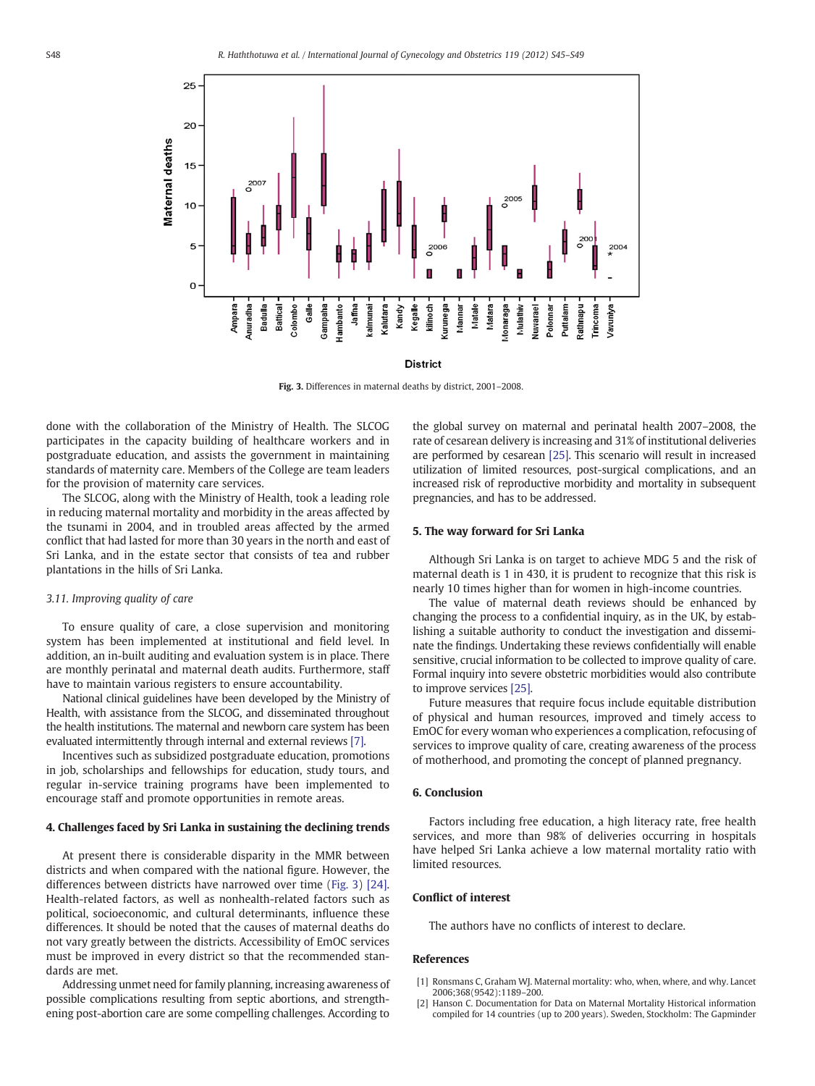<span id="page-3-0"></span>

Fig. 3. Differences in maternal deaths by district, 2001–2008.

done with the collaboration of the Ministry of Health. The SLCOG participates in the capacity building of healthcare workers and in postgraduate education, and assists the government in maintaining standards of maternity care. Members of the College are team leaders for the provision of maternity care services.

The SLCOG, along with the Ministry of Health, took a leading role in reducing maternal mortality and morbidity in the areas affected by the tsunami in 2004, and in troubled areas affected by the armed conflict that had lasted for more than 30 years in the north and east of Sri Lanka, and in the estate sector that consists of tea and rubber plantations in the hills of Sri Lanka.

#### 3.11. Improving quality of care

To ensure quality of care, a close supervision and monitoring system has been implemented at institutional and field level. In addition, an in-built auditing and evaluation system is in place. There are monthly perinatal and maternal death audits. Furthermore, staff have to maintain various registers to ensure accountability.

National clinical guidelines have been developed by the Ministry of Health, with assistance from the SLCOG, and disseminated throughout the health institutions. The maternal and newborn care system has been evaluated intermittently through internal and external reviews [\[7\].](#page-4-0)

Incentives such as subsidized postgraduate education, promotions in job, scholarships and fellowships for education, study tours, and regular in-service training programs have been implemented to encourage staff and promote opportunities in remote areas.

#### 4. Challenges faced by Sri Lanka in sustaining the declining trends

At present there is considerable disparity in the MMR between districts and when compared with the national figure. However, the differences between districts have narrowed over time (Fig. 3) [\[24\].](#page-4-0) Health-related factors, as well as nonhealth-related factors such as political, socioeconomic, and cultural determinants, influence these differences. It should be noted that the causes of maternal deaths do not vary greatly between the districts. Accessibility of EmOC services must be improved in every district so that the recommended standards are met.

Addressing unmet need for family planning, increasing awareness of possible complications resulting from septic abortions, and strengthening post-abortion care are some compelling challenges. According to

the global survey on maternal and perinatal health 2007–2008, the rate of cesarean delivery is increasing and 31% of institutional deliveries are performed by cesarean [\[25\].](#page-4-0) This scenario will result in increased utilization of limited resources, post-surgical complications, and an increased risk of reproductive morbidity and mortality in subsequent pregnancies, and has to be addressed.

#### 5. The way forward for Sri Lanka

Although Sri Lanka is on target to achieve MDG 5 and the risk of maternal death is 1 in 430, it is prudent to recognize that this risk is nearly 10 times higher than for women in high-income countries.

The value of maternal death reviews should be enhanced by changing the process to a confidential inquiry, as in the UK, by establishing a suitable authority to conduct the investigation and disseminate the findings. Undertaking these reviews confidentially will enable sensitive, crucial information to be collected to improve quality of care. Formal inquiry into severe obstetric morbidities would also contribute to improve services [\[25\].](#page-4-0)

Future measures that require focus include equitable distribution of physical and human resources, improved and timely access to EmOC for every woman who experiences a complication, refocusing of services to improve quality of care, creating awareness of the process of motherhood, and promoting the concept of planned pregnancy.

#### 6. Conclusion

Factors including free education, a high literacy rate, free health services, and more than 98% of deliveries occurring in hospitals have helped Sri Lanka achieve a low maternal mortality ratio with limited resources.

#### Conflict of interest

The authors have no conflicts of interest to declare.

#### References

- [1] Ronsmans C, Graham WJ. Maternal mortality: who, when, where, and why. Lancet 2006;368(9542):1189–200.
- [2] Hanson C. Documentation for Data on Maternal Mortality Historical information compiled for 14 countries (up to 200 years). Sweden, Stockholm: The Gapminder